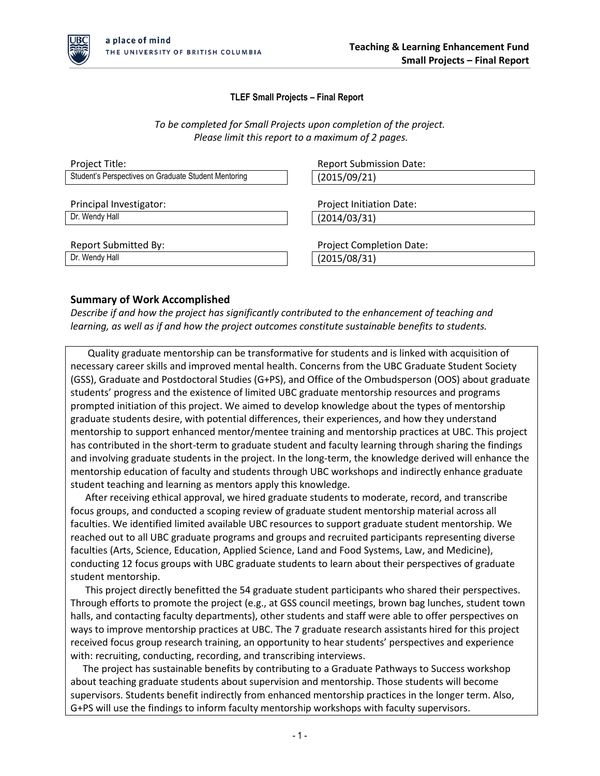

## **TLEF Small Projects – Final Report**

*To be completed for Small Projects upon completion of the project. Please limit this report to a maximum of 2 pages.*

| Project Title:                                       | <b>Report Submission Date:</b>  |
|------------------------------------------------------|---------------------------------|
| Student's Perspectives on Graduate Student Mentoring | (2015/09/21)                    |
|                                                      |                                 |
| Principal Investigator:                              | <b>Project Initiation Date:</b> |
| Dr. Wendy Hall                                       | (2014/03/31)                    |
|                                                      |                                 |
| <b>Report Submitted By:</b>                          | <b>Project Completion Date:</b> |
| Dr. Wendy Hall                                       | (2015/08/31)                    |
|                                                      |                                 |

## **Summary of Work Accomplished**

*Describe if and how the project has significantly contributed to the enhancement of teaching and learning, as well as if and how the project outcomes constitute sustainable benefits to students.* 

 Quality graduate mentorship can be transformative for students and is linked with acquisition of necessary career skills and improved mental health. Concerns from the UBC Graduate Student Society (GSS), Graduate and Postdoctoral Studies (G+PS), and Office of the Ombudsperson (OOS) about graduate students' progress and the existence of limited UBC graduate mentorship resources and programs prompted initiation of this project. We aimed to develop knowledge about the types of mentorship graduate students desire, with potential differences, their experiences, and how they understand mentorship to support enhanced mentor/mentee training and mentorship practices at UBC. This project has contributed in the short-term to graduate student and faculty learning through sharing the findings and involving graduate students in the project. In the long-term, the knowledge derived will enhance the mentorship education of faculty and students through UBC workshops and indirectly enhance graduate student teaching and learning as mentors apply this knowledge.

 After receiving ethical approval, we hired graduate students to moderate, record, and transcribe focus groups, and conducted a scoping review of graduate student mentorship material across all faculties. We identified limited available UBC resources to support graduate student mentorship. We reached out to all UBC graduate programs and groups and recruited participants representing diverse faculties (Arts, Science, Education, Applied Science, Land and Food Systems, Law, and Medicine), conducting 12 focus groups with UBC graduate students to learn about their perspectives of graduate student mentorship.

 This project directly benefitted the 54 graduate student participants who shared their perspectives. Through efforts to promote the project (e.g., at GSS council meetings, brown bag lunches, student town halls, and contacting faculty departments), other students and staff were able to offer perspectives on ways to improve mentorship practices at UBC. The 7 graduate research assistants hired for this project received focus group research training, an opportunity to hear students' perspectives and experience with: recruiting, conducting, recording, and transcribing interviews.

 The project has sustainable benefits by contributing to a Graduate Pathways to Success workshop about teaching graduate students about supervision and mentorship. Those students will become supervisors. Students benefit indirectly from enhanced mentorship practices in the longer term. Also, G+PS will use the findings to inform faculty mentorship workshops with faculty supervisors.